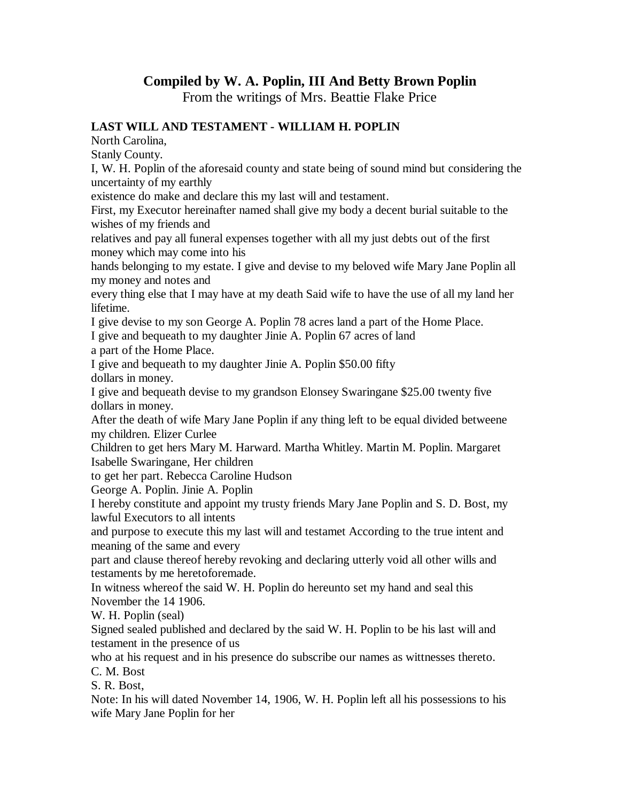## **Compiled by W. A. Poplin, III And Betty Brown Poplin**

From the writings of Mrs. Beattie Flake Price

## **LAST WILL AND TESTAMENT - WILLIAM H. POPLIN**

North Carolina,

Stanly County.

I, W. H. Poplin of the aforesaid county and state being of sound mind but considering the uncertainty of my earthly

existence do make and declare this my last will and testament.

First, my Executor hereinafter named shall give my body a decent burial suitable to the wishes of my friends and

relatives and pay all funeral expenses together with all my just debts out of the first money which may come into his

hands belonging to my estate. I give and devise to my beloved wife Mary Jane Poplin all my money and notes and

every thing else that I may have at my death Said wife to have the use of all my land her lifetime.

I give devise to my son George A. Poplin 78 acres land a part of the Home Place.

I give and bequeath to my daughter Jinie A. Poplin 67 acres of land

a part of the Home Place.

I give and bequeath to my daughter Jinie A. Poplin \$50.00 fifty dollars in money.

I give and bequeath devise to my grandson Elonsey Swaringane \$25.00 twenty five dollars in money.

After the death of wife Mary Jane Poplin if any thing left to be equal divided betweene my children. Elizer Curlee

Children to get hers Mary M. Harward. Martha Whitley. Martin M. Poplin. Margaret Isabelle Swaringane, Her children

to get her part. Rebecca Caroline Hudson

George A. Poplin. Jinie A. Poplin

I hereby constitute and appoint my trusty friends Mary Jane Poplin and S. D. Bost, my lawful Executors to all intents

and purpose to execute this my last will and testamet According to the true intent and meaning of the same and every

part and clause thereof hereby revoking and declaring utterly void all other wills and testaments by me heretoforemade.

In witness whereof the said W. H. Poplin do hereunto set my hand and seal this November the 14 1906.

W. H. Poplin (seal)

Signed sealed published and declared by the said W. H. Poplin to be his last will and testament in the presence of us

who at his request and in his presence do subscribe our names as wittnesses thereto. C. M. Bost

S. R. Bost,

Note: In his will dated November 14, 1906, W. H. Poplin left all his possessions to his wife Mary Jane Poplin for her